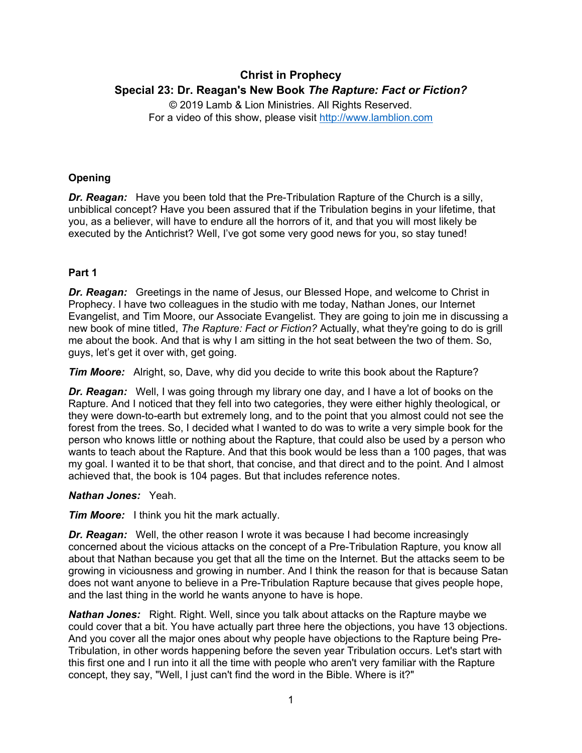# **Christ in Prophecy Special 23: Dr. Reagan's New Book** *The Rapture: Fact or Fiction?*

© 2019 Lamb & Lion Ministries. All Rights Reserved. For a video of this show, please visit [http://www.lamblion.com](http://www.lamblion.com/)

## **Opening**

*Dr. Reagan:* Have you been told that the Pre-Tribulation Rapture of the Church is a silly, unbiblical concept? Have you been assured that if the Tribulation begins in your lifetime, that you, as a believer, will have to endure all the horrors of it, and that you will most likely be executed by the Antichrist? Well, I've got some very good news for you, so stay tuned!

## **Part 1**

*Dr. Reagan:* Greetings in the name of Jesus, our Blessed Hope, and welcome to Christ in Prophecy. I have two colleagues in the studio with me today, Nathan Jones, our Internet Evangelist, and Tim Moore, our Associate Evangelist. They are going to join me in discussing a new book of mine titled, *The Rapture: Fact or Fiction?* Actually, what they're going to do is grill me about the book. And that is why I am sitting in the hot seat between the two of them. So, guys, let's get it over with, get going.

*Tim Moore:* Alright, so, Dave, why did you decide to write this book about the Rapture?

*Dr. Reagan:* Well, I was going through my library one day, and I have a lot of books on the Rapture. And I noticed that they fell into two categories, they were either highly theological, or they were down-to-earth but extremely long, and to the point that you almost could not see the forest from the trees. So, I decided what I wanted to do was to write a very simple book for the person who knows little or nothing about the Rapture, that could also be used by a person who wants to teach about the Rapture. And that this book would be less than a 100 pages, that was my goal. I wanted it to be that short, that concise, and that direct and to the point. And I almost achieved that, the book is 104 pages. But that includes reference notes.

## *Nathan Jones:* Yeah.

*Tim Moore:* I think you hit the mark actually.

*Dr. Reagan:* Well, the other reason I wrote it was because I had become increasingly concerned about the vicious attacks on the concept of a Pre-Tribulation Rapture, you know all about that Nathan because you get that all the time on the Internet. But the attacks seem to be growing in viciousness and growing in number. And I think the reason for that is because Satan does not want anyone to believe in a Pre-Tribulation Rapture because that gives people hope, and the last thing in the world he wants anyone to have is hope.

*Nathan Jones:* Right. Right. Well, since you talk about attacks on the Rapture maybe we could cover that a bit. You have actually part three here the objections, you have 13 objections. And you cover all the major ones about why people have objections to the Rapture being Pre-Tribulation, in other words happening before the seven year Tribulation occurs. Let's start with this first one and I run into it all the time with people who aren't very familiar with the Rapture concept, they say, "Well, I just can't find the word in the Bible. Where is it?"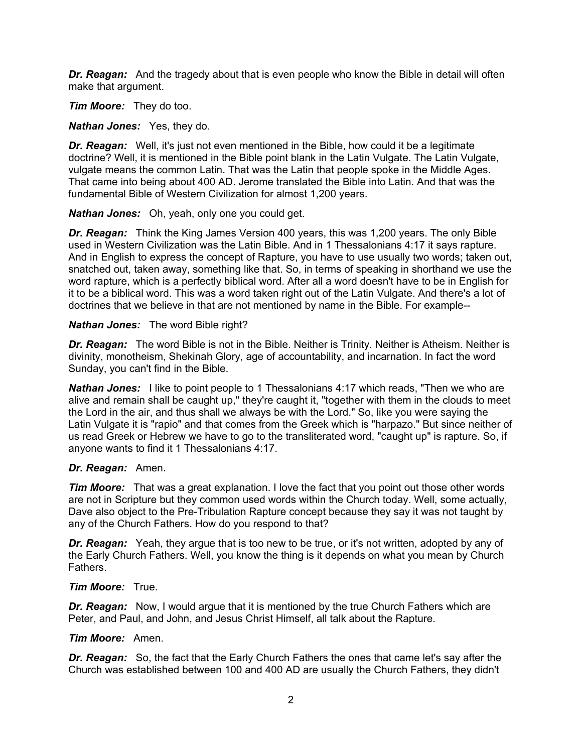*Dr. Reagan:* And the tragedy about that is even people who know the Bible in detail will often make that argument.

*Tim Moore:* They do too.

*Nathan Jones:* Yes, they do.

*Dr. Reagan:* Well, it's just not even mentioned in the Bible, how could it be a legitimate doctrine? Well, it is mentioned in the Bible point blank in the Latin Vulgate. The Latin Vulgate, vulgate means the common Latin. That was the Latin that people spoke in the Middle Ages. That came into being about 400 AD. Jerome translated the Bible into Latin. And that was the fundamental Bible of Western Civilization for almost 1,200 years.

*Nathan Jones:* Oh, yeah, only one you could get.

*Dr. Reagan:* Think the King James Version 400 years, this was 1,200 years. The only Bible used in Western Civilization was the Latin Bible. And in 1 Thessalonians 4:17 it says rapture. And in English to express the concept of Rapture, you have to use usually two words; taken out, snatched out, taken away, something like that. So, in terms of speaking in shorthand we use the word rapture, which is a perfectly biblical word. After all a word doesn't have to be in English for it to be a biblical word. This was a word taken right out of the Latin Vulgate. And there's a lot of doctrines that we believe in that are not mentioned by name in the Bible. For example--

#### *Nathan Jones:* The word Bible right?

*Dr. Reagan:* The word Bible is not in the Bible. Neither is Trinity. Neither is Atheism. Neither is divinity, monotheism, Shekinah Glory, age of accountability, and incarnation. In fact the word Sunday, you can't find in the Bible.

*Nathan Jones:* I like to point people to 1 Thessalonians 4:17 which reads, "Then we who are alive and remain shall be caught up," they're caught it, "together with them in the clouds to meet the Lord in the air, and thus shall we always be with the Lord." So, like you were saying the Latin Vulgate it is "rapio" and that comes from the Greek which is "harpazo." But since neither of us read Greek or Hebrew we have to go to the transliterated word, "caught up" is rapture. So, if anyone wants to find it 1 Thessalonians 4:17.

## *Dr. Reagan:* Amen.

*Tim Moore:* That was a great explanation. I love the fact that you point out those other words are not in Scripture but they common used words within the Church today. Well, some actually, Dave also object to the Pre-Tribulation Rapture concept because they say it was not taught by any of the Church Fathers. How do you respond to that?

**Dr. Reagan:** Yeah, they argue that is too new to be true, or it's not written, adopted by any of the Early Church Fathers. Well, you know the thing is it depends on what you mean by Church Fathers.

## *Tim Moore:* True.

*Dr. Reagan:* Now, I would argue that it is mentioned by the true Church Fathers which are Peter, and Paul, and John, and Jesus Christ Himself, all talk about the Rapture.

## *Tim Moore:* Amen.

*Dr. Reagan:* So, the fact that the Early Church Fathers the ones that came let's say after the Church was established between 100 and 400 AD are usually the Church Fathers, they didn't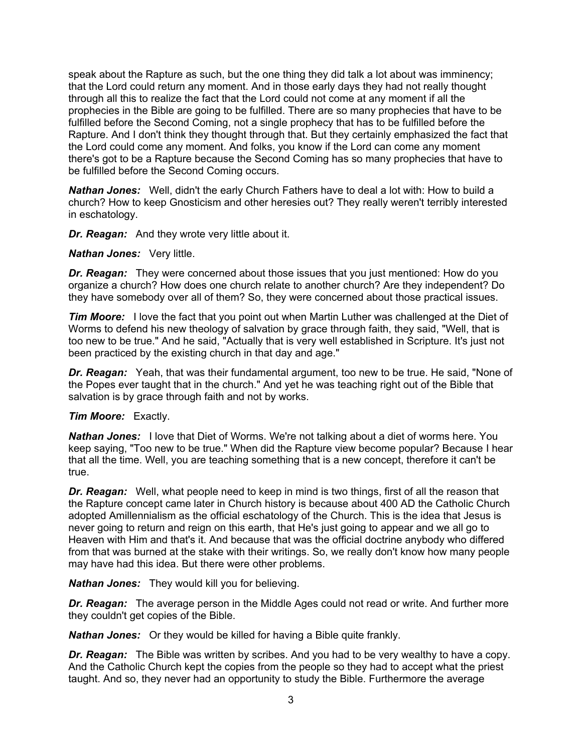speak about the Rapture as such, but the one thing they did talk a lot about was imminency; that the Lord could return any moment. And in those early days they had not really thought through all this to realize the fact that the Lord could not come at any moment if all the prophecies in the Bible are going to be fulfilled. There are so many prophecies that have to be fulfilled before the Second Coming, not a single prophecy that has to be fulfilled before the Rapture. And I don't think they thought through that. But they certainly emphasized the fact that the Lord could come any moment. And folks, you know if the Lord can come any moment there's got to be a Rapture because the Second Coming has so many prophecies that have to be fulfilled before the Second Coming occurs.

*Nathan Jones:* Well, didn't the early Church Fathers have to deal a lot with: How to build a church? How to keep Gnosticism and other heresies out? They really weren't terribly interested in eschatology.

*Dr. Reagan:* And they wrote very little about it.

#### *Nathan Jones:* Very little.

*Dr. Reagan:* They were concerned about those issues that you just mentioned: How do you organize a church? How does one church relate to another church? Are they independent? Do they have somebody over all of them? So, they were concerned about those practical issues.

*Tim Moore:* I love the fact that you point out when Martin Luther was challenged at the Diet of Worms to defend his new theology of salvation by grace through faith, they said, "Well, that is too new to be true." And he said, "Actually that is very well established in Scripture. It's just not been practiced by the existing church in that day and age."

*Dr. Reagan:* Yeah, that was their fundamental argument, too new to be true. He said, "None of the Popes ever taught that in the church." And yet he was teaching right out of the Bible that salvation is by grace through faith and not by works.

## *Tim Moore:* Exactly.

*Nathan Jones:* I love that Diet of Worms. We're not talking about a diet of worms here. You keep saying, "Too new to be true." When did the Rapture view become popular? Because I hear that all the time. Well, you are teaching something that is a new concept, therefore it can't be true.

*Dr. Reagan:* Well, what people need to keep in mind is two things, first of all the reason that the Rapture concept came later in Church history is because about 400 AD the Catholic Church adopted Amillennialism as the official eschatology of the Church. This is the idea that Jesus is never going to return and reign on this earth, that He's just going to appear and we all go to Heaven with Him and that's it. And because that was the official doctrine anybody who differed from that was burned at the stake with their writings. So, we really don't know how many people may have had this idea. But there were other problems.

*Nathan Jones:* They would kill you for believing.

*Dr. Reagan:* The average person in the Middle Ages could not read or write. And further more they couldn't get copies of the Bible.

*Nathan Jones:* Or they would be killed for having a Bible quite frankly.

*Dr. Reagan:* The Bible was written by scribes. And you had to be very wealthy to have a copy. And the Catholic Church kept the copies from the people so they had to accept what the priest taught. And so, they never had an opportunity to study the Bible. Furthermore the average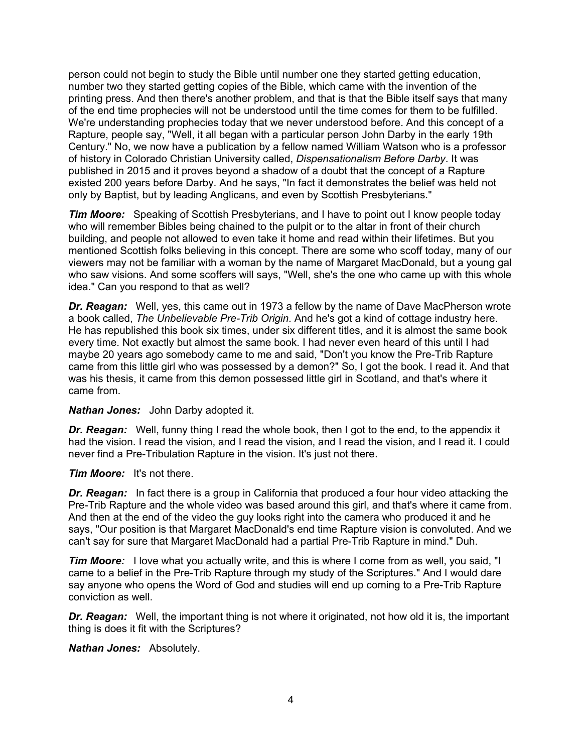person could not begin to study the Bible until number one they started getting education, number two they started getting copies of the Bible, which came with the invention of the printing press. And then there's another problem, and that is that the Bible itself says that many of the end time prophecies will not be understood until the time comes for them to be fulfilled. We're understanding prophecies today that we never understood before. And this concept of a Rapture, people say, "Well, it all began with a particular person John Darby in the early 19th Century." No, we now have a publication by a fellow named William Watson who is a professor of history in Colorado Christian University called, *Dispensationalism Before Darby*. It was published in 2015 and it proves beyond a shadow of a doubt that the concept of a Rapture existed 200 years before Darby. And he says, "In fact it demonstrates the belief was held not only by Baptist, but by leading Anglicans, and even by Scottish Presbyterians."

*Tim Moore:* Speaking of Scottish Presbyterians, and I have to point out I know people today who will remember Bibles being chained to the pulpit or to the altar in front of their church building, and people not allowed to even take it home and read within their lifetimes. But you mentioned Scottish folks believing in this concept. There are some who scoff today, many of our viewers may not be familiar with a woman by the name of Margaret MacDonald, but a young gal who saw visions. And some scoffers will says, "Well, she's the one who came up with this whole idea." Can you respond to that as well?

*Dr. Reagan:* Well, yes, this came out in 1973 a fellow by the name of Dave MacPherson wrote a book called, *The Unbelievable Pre-Trib Origin*. And he's got a kind of cottage industry here. He has republished this book six times, under six different titles, and it is almost the same book every time. Not exactly but almost the same book. I had never even heard of this until I had maybe 20 years ago somebody came to me and said, "Don't you know the Pre-Trib Rapture came from this little girl who was possessed by a demon?" So, I got the book. I read it. And that was his thesis, it came from this demon possessed little girl in Scotland, and that's where it came from.

## *Nathan Jones:* John Darby adopted it.

*Dr. Reagan:* Well, funny thing I read the whole book, then I got to the end, to the appendix it had the vision. I read the vision, and I read the vision, and I read the vision, and I read it. I could never find a Pre-Tribulation Rapture in the vision. It's just not there.

#### *Tim Moore:* It's not there.

**Dr. Reagan:** In fact there is a group in California that produced a four hour video attacking the Pre-Trib Rapture and the whole video was based around this girl, and that's where it came from. And then at the end of the video the guy looks right into the camera who produced it and he says, "Our position is that Margaret MacDonald's end time Rapture vision is convoluted. And we can't say for sure that Margaret MacDonald had a partial Pre-Trib Rapture in mind." Duh.

*Tim Moore:* I love what you actually write, and this is where I come from as well, you said, "I came to a belief in the Pre-Trib Rapture through my study of the Scriptures." And I would dare say anyone who opens the Word of God and studies will end up coming to a Pre-Trib Rapture conviction as well.

*Dr. Reagan:* Well, the important thing is not where it originated, not how old it is, the important thing is does it fit with the Scriptures?

## *Nathan Jones:* Absolutely.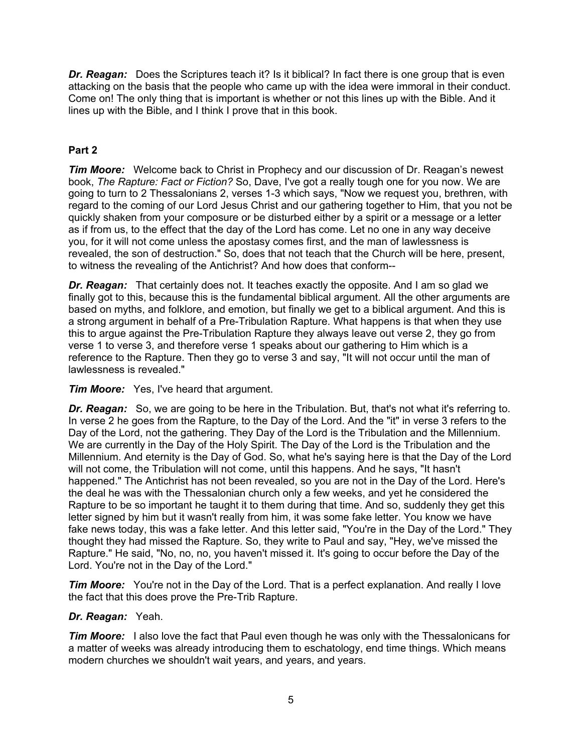*Dr. Reagan:* Does the Scriptures teach it? Is it biblical? In fact there is one group that is even attacking on the basis that the people who came up with the idea were immoral in their conduct. Come on! The only thing that is important is whether or not this lines up with the Bible. And it lines up with the Bible, and I think I prove that in this book.

## **Part 2**

*Tim Moore:* Welcome back to Christ in Prophecy and our discussion of Dr. Reagan's newest book, *The Rapture: Fact or Fiction?* So, Dave, I've got a really tough one for you now. We are going to turn to 2 Thessalonians 2, verses 1-3 which says, "Now we request you, brethren, with regard to the coming of our Lord Jesus Christ and our gathering together to Him, that you not be quickly shaken from your composure or be disturbed either by a spirit or a message or a letter as if from us, to the effect that the day of the Lord has come. Let no one in any way deceive you, for it will not come unless the apostasy comes first, and the man of lawlessness is revealed, the son of destruction." So, does that not teach that the Church will be here, present, to witness the revealing of the Antichrist? And how does that conform--

*Dr. Reagan:* That certainly does not. It teaches exactly the opposite. And I am so glad we finally got to this, because this is the fundamental biblical argument. All the other arguments are based on myths, and folklore, and emotion, but finally we get to a biblical argument. And this is a strong argument in behalf of a Pre-Tribulation Rapture. What happens is that when they use this to argue against the Pre-Tribulation Rapture they always leave out verse 2, they go from verse 1 to verse 3, and therefore verse 1 speaks about our gathering to Him which is a reference to the Rapture. Then they go to verse 3 and say, "It will not occur until the man of lawlessness is revealed."

*Tim Moore:* Yes, I've heard that argument.

*Dr. Reagan:* So, we are going to be here in the Tribulation. But, that's not what it's referring to. In verse 2 he goes from the Rapture, to the Day of the Lord. And the "it" in verse 3 refers to the Day of the Lord, not the gathering. They Day of the Lord is the Tribulation and the Millennium. We are currently in the Day of the Holy Spirit. The Day of the Lord is the Tribulation and the Millennium. And eternity is the Day of God. So, what he's saying here is that the Day of the Lord will not come, the Tribulation will not come, until this happens. And he says, "It hasn't happened." The Antichrist has not been revealed, so you are not in the Day of the Lord. Here's the deal he was with the Thessalonian church only a few weeks, and yet he considered the Rapture to be so important he taught it to them during that time. And so, suddenly they get this letter signed by him but it wasn't really from him, it was some fake letter. You know we have fake news today, this was a fake letter. And this letter said, "You're in the Day of the Lord." They thought they had missed the Rapture. So, they write to Paul and say, "Hey, we've missed the Rapture." He said, "No, no, no, you haven't missed it. It's going to occur before the Day of the Lord. You're not in the Day of the Lord."

*Tim Moore:* You're not in the Day of the Lord. That is a perfect explanation. And really I love the fact that this does prove the Pre-Trib Rapture.

## *Dr. Reagan:* Yeah.

*Tim Moore:* I also love the fact that Paul even though he was only with the Thessalonicans for a matter of weeks was already introducing them to eschatology, end time things. Which means modern churches we shouldn't wait years, and years, and years.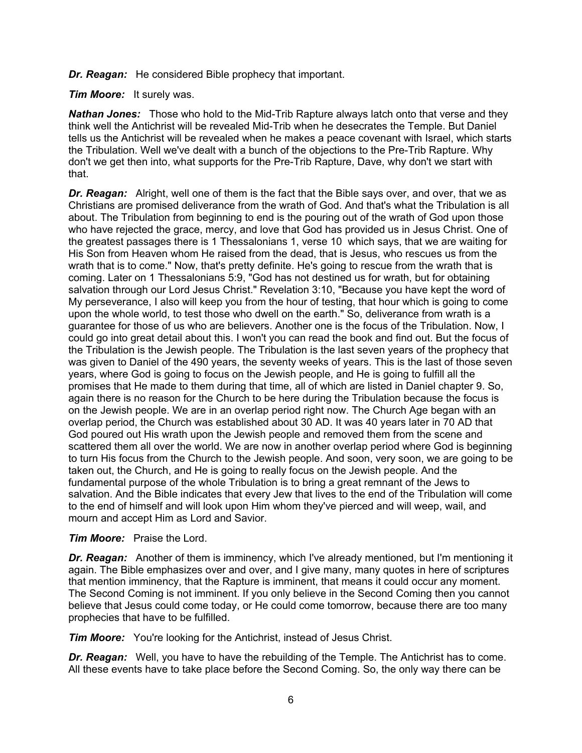*Dr. Reagan:* He considered Bible prophecy that important.

*Tim Moore:* It surely was.

*Nathan Jones:* Those who hold to the Mid-Trib Rapture always latch onto that verse and they think well the Antichrist will be revealed Mid-Trib when he desecrates the Temple. But Daniel tells us the Antichrist will be revealed when he makes a peace covenant with Israel, which starts the Tribulation. Well we've dealt with a bunch of the objections to the Pre-Trib Rapture. Why don't we get then into, what supports for the Pre-Trib Rapture, Dave, why don't we start with that.

*Dr. Reagan:* Alright, well one of them is the fact that the Bible says over, and over, that we as Christians are promised deliverance from the wrath of God. And that's what the Tribulation is all about. The Tribulation from beginning to end is the pouring out of the wrath of God upon those who have rejected the grace, mercy, and love that God has provided us in Jesus Christ. One of the greatest passages there is 1 Thessalonians 1, verse 10 which says, that we are waiting for His Son from Heaven whom He raised from the dead, that is Jesus, who rescues us from the wrath that is to come." Now, that's pretty definite. He's going to rescue from the wrath that is coming. Later on 1 Thessalonians 5:9, "God has not destined us for wrath, but for obtaining salvation through our Lord Jesus Christ." Revelation 3:10, "Because you have kept the word of My perseverance, I also will keep you from the hour of testing, that hour which is going to come upon the whole world, to test those who dwell on the earth." So, deliverance from wrath is a guarantee for those of us who are believers. Another one is the focus of the Tribulation. Now, I could go into great detail about this. I won't you can read the book and find out. But the focus of the Tribulation is the Jewish people. The Tribulation is the last seven years of the prophecy that was given to Daniel of the 490 years, the seventy weeks of years. This is the last of those seven years, where God is going to focus on the Jewish people, and He is going to fulfill all the promises that He made to them during that time, all of which are listed in Daniel chapter 9. So, again there is no reason for the Church to be here during the Tribulation because the focus is on the Jewish people. We are in an overlap period right now. The Church Age began with an overlap period, the Church was established about 30 AD. It was 40 years later in 70 AD that God poured out His wrath upon the Jewish people and removed them from the scene and scattered them all over the world. We are now in another overlap period where God is beginning to turn His focus from the Church to the Jewish people. And soon, very soon, we are going to be taken out, the Church, and He is going to really focus on the Jewish people. And the fundamental purpose of the whole Tribulation is to bring a great remnant of the Jews to salvation. And the Bible indicates that every Jew that lives to the end of the Tribulation will come to the end of himself and will look upon Him whom they've pierced and will weep, wail, and mourn and accept Him as Lord and Savior.

## *Tim Moore:* Praise the Lord.

**Dr. Reagan:** Another of them is imminency, which I've already mentioned, but I'm mentioning it again. The Bible emphasizes over and over, and I give many, many quotes in here of scriptures that mention imminency, that the Rapture is imminent, that means it could occur any moment. The Second Coming is not imminent. If you only believe in the Second Coming then you cannot believe that Jesus could come today, or He could come tomorrow, because there are too many prophecies that have to be fulfilled.

*Tim Moore:* You're looking for the Antichrist, instead of Jesus Christ.

*Dr. Reagan:* Well, you have to have the rebuilding of the Temple. The Antichrist has to come. All these events have to take place before the Second Coming. So, the only way there can be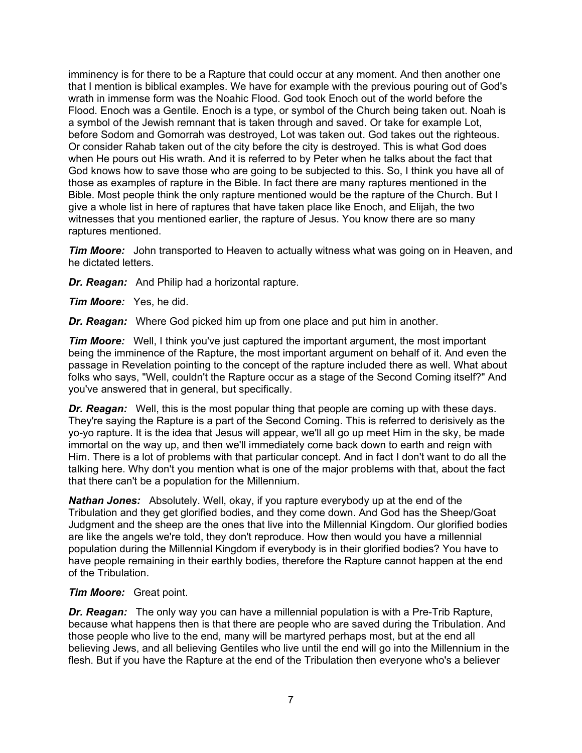imminency is for there to be a Rapture that could occur at any moment. And then another one that I mention is biblical examples. We have for example with the previous pouring out of God's wrath in immense form was the Noahic Flood. God took Enoch out of the world before the Flood. Enoch was a Gentile. Enoch is a type, or symbol of the Church being taken out. Noah is a symbol of the Jewish remnant that is taken through and saved. Or take for example Lot, before Sodom and Gomorrah was destroyed, Lot was taken out. God takes out the righteous. Or consider Rahab taken out of the city before the city is destroyed. This is what God does when He pours out His wrath. And it is referred to by Peter when he talks about the fact that God knows how to save those who are going to be subjected to this. So, I think you have all of those as examples of rapture in the Bible. In fact there are many raptures mentioned in the Bible. Most people think the only rapture mentioned would be the rapture of the Church. But I give a whole list in here of raptures that have taken place like Enoch, and Elijah, the two witnesses that you mentioned earlier, the rapture of Jesus. You know there are so many raptures mentioned.

*Tim Moore:* John transported to Heaven to actually witness what was going on in Heaven, and he dictated letters.

*Dr. Reagan:* And Philip had a horizontal rapture.

*Tim Moore:* Yes, he did.

*Dr. Reagan:* Where God picked him up from one place and put him in another.

*Tim Moore:* Well, I think you've just captured the important argument, the most important being the imminence of the Rapture, the most important argument on behalf of it. And even the passage in Revelation pointing to the concept of the rapture included there as well. What about folks who says, "Well, couldn't the Rapture occur as a stage of the Second Coming itself?" And you've answered that in general, but specifically.

*Dr. Reagan:* Well, this is the most popular thing that people are coming up with these days. They're saying the Rapture is a part of the Second Coming. This is referred to derisively as the yo-yo rapture. It is the idea that Jesus will appear, we'll all go up meet Him in the sky, be made immortal on the way up, and then we'll immediately come back down to earth and reign with Him. There is a lot of problems with that particular concept. And in fact I don't want to do all the talking here. Why don't you mention what is one of the major problems with that, about the fact that there can't be a population for the Millennium.

*Nathan Jones:* Absolutely. Well, okay, if you rapture everybody up at the end of the Tribulation and they get glorified bodies, and they come down. And God has the Sheep/Goat Judgment and the sheep are the ones that live into the Millennial Kingdom. Our glorified bodies are like the angels we're told, they don't reproduce. How then would you have a millennial population during the Millennial Kingdom if everybody is in their glorified bodies? You have to have people remaining in their earthly bodies, therefore the Rapture cannot happen at the end of the Tribulation.

## *Tim Moore:* Great point.

*Dr. Reagan:* The only way you can have a millennial population is with a Pre-Trib Rapture, because what happens then is that there are people who are saved during the Tribulation. And those people who live to the end, many will be martyred perhaps most, but at the end all believing Jews, and all believing Gentiles who live until the end will go into the Millennium in the flesh. But if you have the Rapture at the end of the Tribulation then everyone who's a believer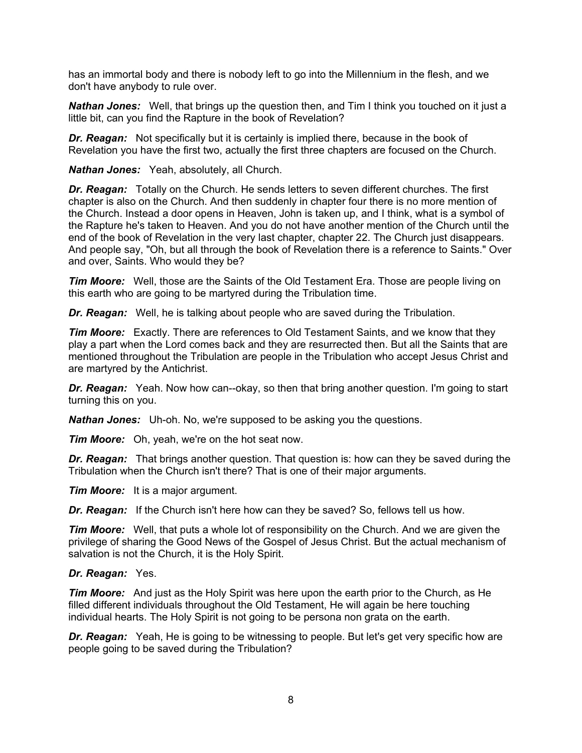has an immortal body and there is nobody left to go into the Millennium in the flesh, and we don't have anybody to rule over.

*Nathan Jones:* Well, that brings up the question then, and Tim I think you touched on it just a little bit, can you find the Rapture in the book of Revelation?

*Dr. Reagan:* Not specifically but it is certainly is implied there, because in the book of Revelation you have the first two, actually the first three chapters are focused on the Church.

*Nathan Jones:* Yeah, absolutely, all Church.

*Dr. Reagan:* Totally on the Church. He sends letters to seven different churches. The first chapter is also on the Church. And then suddenly in chapter four there is no more mention of the Church. Instead a door opens in Heaven, John is taken up, and I think, what is a symbol of the Rapture he's taken to Heaven. And you do not have another mention of the Church until the end of the book of Revelation in the very last chapter, chapter 22. The Church just disappears. And people say, "Oh, but all through the book of Revelation there is a reference to Saints." Over and over, Saints. Who would they be?

*Tim Moore:* Well, those are the Saints of the Old Testament Era. Those are people living on this earth who are going to be martyred during the Tribulation time.

*Dr. Reagan:* Well, he is talking about people who are saved during the Tribulation.

*Tim Moore:* Exactly. There are references to Old Testament Saints, and we know that they play a part when the Lord comes back and they are resurrected then. But all the Saints that are mentioned throughout the Tribulation are people in the Tribulation who accept Jesus Christ and are martyred by the Antichrist.

*Dr. Reagan:* Yeah. Now how can--okay, so then that bring another question. I'm going to start turning this on you.

*Nathan Jones:* Uh-oh. No, we're supposed to be asking you the questions.

*Tim Moore:* Oh, yeah, we're on the hot seat now.

*Dr. Reagan:* That brings another question. That question is: how can they be saved during the Tribulation when the Church isn't there? That is one of their major arguments.

*Tim Moore:* It is a major argument.

*Dr. Reagan:* If the Church isn't here how can they be saved? So, fellows tell us how.

*Tim Moore:* Well, that puts a whole lot of responsibility on the Church. And we are given the privilege of sharing the Good News of the Gospel of Jesus Christ. But the actual mechanism of salvation is not the Church, it is the Holy Spirit.

#### *Dr. Reagan:* Yes.

*Tim Moore:* And just as the Holy Spirit was here upon the earth prior to the Church, as He filled different individuals throughout the Old Testament, He will again be here touching individual hearts. The Holy Spirit is not going to be persona non grata on the earth.

*Dr. Reagan:* Yeah, He is going to be witnessing to people. But let's get very specific how are people going to be saved during the Tribulation?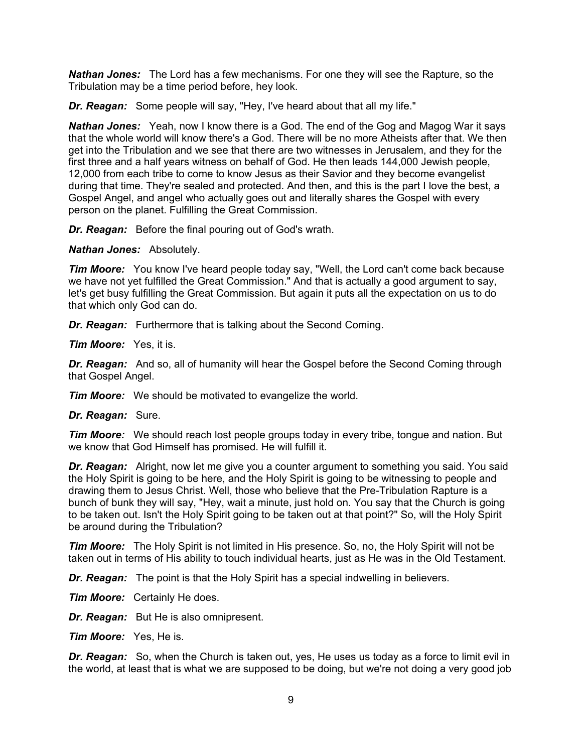*Nathan Jones:* The Lord has a few mechanisms. For one they will see the Rapture, so the Tribulation may be a time period before, hey look.

*Dr. Reagan:* Some people will say, "Hey, I've heard about that all my life."

*Nathan Jones:* Yeah, now I know there is a God. The end of the Gog and Magog War it says that the whole world will know there's a God. There will be no more Atheists after that. We then get into the Tribulation and we see that there are two witnesses in Jerusalem, and they for the first three and a half years witness on behalf of God. He then leads 144,000 Jewish people, 12,000 from each tribe to come to know Jesus as their Savior and they become evangelist during that time. They're sealed and protected. And then, and this is the part I love the best, a Gospel Angel, and angel who actually goes out and literally shares the Gospel with every person on the planet. Fulfilling the Great Commission.

*Dr. Reagan:* Before the final pouring out of God's wrath.

*Nathan Jones:* Absolutely.

*Tim Moore:* You know I've heard people today say, "Well, the Lord can't come back because we have not yet fulfilled the Great Commission." And that is actually a good argument to say, let's get busy fulfilling the Great Commission. But again it puts all the expectation on us to do that which only God can do.

*Dr. Reagan:* Furthermore that is talking about the Second Coming.

*Tim Moore:* Yes, it is.

*Dr. Reagan:* And so, all of humanity will hear the Gospel before the Second Coming through that Gospel Angel.

*Tim Moore:* We should be motivated to evangelize the world.

*Dr. Reagan:* Sure.

*Tim Moore:* We should reach lost people groups today in every tribe, tongue and nation. But we know that God Himself has promised. He will fulfill it.

*Dr. Reagan:* Alright, now let me give you a counter argument to something you said. You said the Holy Spirit is going to be here, and the Holy Spirit is going to be witnessing to people and drawing them to Jesus Christ. Well, those who believe that the Pre-Tribulation Rapture is a bunch of bunk they will say, "Hey, wait a minute, just hold on. You say that the Church is going to be taken out. Isn't the Holy Spirit going to be taken out at that point?" So, will the Holy Spirit be around during the Tribulation?

*Tim Moore:* The Holy Spirit is not limited in His presence. So, no, the Holy Spirit will not be taken out in terms of His ability to touch individual hearts, just as He was in the Old Testament.

*Dr. Reagan:* The point is that the Holy Spirit has a special indwelling in believers.

*Tim Moore:* Certainly He does.

*Dr. Reagan:* But He is also omnipresent.

*Tim Moore:* Yes, He is.

*Dr. Reagan:* So, when the Church is taken out, yes, He uses us today as a force to limit evil in the world, at least that is what we are supposed to be doing, but we're not doing a very good job